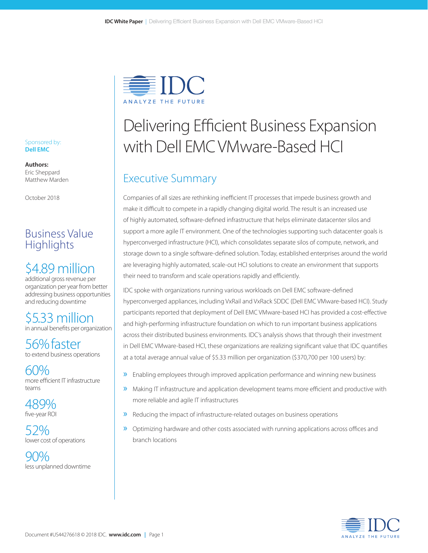

# Delivering Efficient Business Expansion with Dell EMC VMware-Based HCI

# Executive Summary

Companies of all sizes are rethinking inefficient IT processes that impede business growth and make it difficult to compete in a rapidly changing digital world. The result is an increased use of highly automated, software-defined infrastructure that helps eliminate datacenter silos and support a more agile IT environment. One of the technologies supporting such datacenter goals is hyperconverged infrastructure (HCI), which consolidates separate silos of compute, network, and storage down to a single software-defined solution. Today, established enterprises around the world are leveraging highly automated, scale-out HCI solutions to create an environment that supports their need to transform and scale operations rapidly and efficiently.

IDC spoke with organizations running various workloads on Dell EMC software-defined hyperconverged appliances, including VxRail and VxRack SDDC (Dell EMC VMware-based HCI). Study participants reported that deployment of Dell EMC VMware-based HCI has provided a cost-effective and high-performing infrastructure foundation on which to run important business applications across their distributed business environments. IDC's analysis shows that through their investment in Dell EMC VMware-based HCI, these organizations are realizing significant value that IDC quantifies at a total average annual value of \$5.33 million per organization (\$370,700 per 100 users) by:

- » Enabling employees through improved application performance and winning new business
- » Making IT infrastructure and application development teams more efficient and productive with more reliable and agile IT infrastructures
- » Reducing the impact of infrastructure-related outages on business operations
- » Optimizing hardware and other costs associated with running applications across offices and branch locations



#### Sponsored by: **Dell EMC**

**Authors:** Eric Sheppard Matthew Marden

October 2018

# Business Value **Highlights**

# \$4.89 million

additional gross revenue per organization per year from better addressing business opportunities and reducing downtime

\$5.33 million in annual benefits per organization

56% faster to extend business operations

60% more efficient IT infrastructure teams

489% five-year ROI

52% lower cost of operations

 $9(y_0$ less unplanned downtime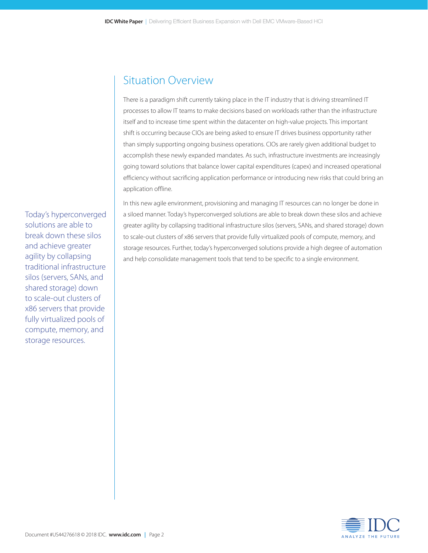# Situation Overview

There is a paradigm shift currently taking place in the IT industry that is driving streamlined IT processes to allow IT teams to make decisions based on workloads rather than the infrastructure itself and to increase time spent within the datacenter on high-value projects. This important shift is occurring because CIOs are being asked to ensure IT drives business opportunity rather than simply supporting ongoing business operations. CIOs are rarely given additional budget to accomplish these newly expanded mandates. As such, infrastructure investments are increasingly going toward solutions that balance lower capital expenditures (capex) and increased operational efficiency without sacrificing application performance or introducing new risks that could bring an application offline.

In this new agile environment, provisioning and managing IT resources can no longer be done in a siloed manner. Today's hyperconverged solutions are able to break down these silos and achieve greater agility by collapsing traditional infrastructure silos (servers, SANs, and shared storage) down to scale-out clusters of x86 servers that provide fully virtualized pools of compute, memory, and storage resources. Further, today's hyperconverged solutions provide a high degree of automation and help consolidate management tools that tend to be specific to a single environment.

Today's hyperconverged solutions are able to break down these silos and achieve greater agility by collapsing traditional infrastructure silos (servers, SANs, and shared storage) down to scale-out clusters of x86 servers that provide fully virtualized pools of compute, memory, and storage resources.

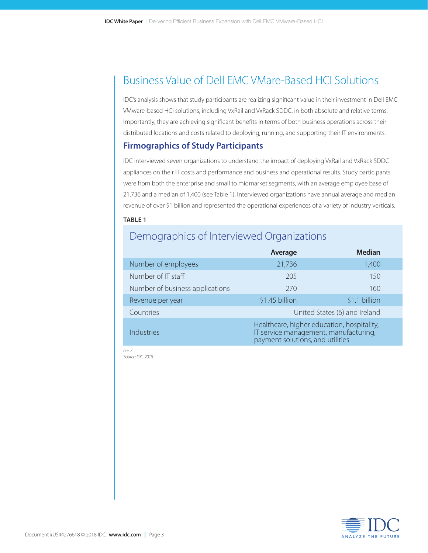# Business Value of Dell EMC VMare-Based HCI Solutions

IDC's analysis shows that study participants are realizing significant value in their investment in Dell EMC VMware-based HCI solutions, including VxRail and VxRack SDDC, in both absolute and relative terms. Importantly, they are achieving significant benefits in terms of both business operations across their distributed locations and costs related to deploying, running, and supporting their IT environments.

### **Firmographics of Study Participants**

IDC interviewed seven organizations to understand the impact of deploying VxRail and VxRack SDDC appliances on their IT costs and performance and business and operational results. Study participants were from both the enterprise and small to midmarket segments, with an average employee base of 21,736 and a median of 1,400 (see Table 1). Interviewed organizations have annual average and median revenue of over \$1 billion and represented the operational experiences of a variety of industry verticals.

#### **TABLE 1**

### Demographics of Interviewed Organizations

|                                 | Average                                                                                                                 | <b>Median</b> |  |
|---------------------------------|-------------------------------------------------------------------------------------------------------------------------|---------------|--|
| Number of employees             | 21,736                                                                                                                  | 1,400         |  |
| Number of IT staff              | 205                                                                                                                     | 150           |  |
| Number of business applications | 270                                                                                                                     | 160           |  |
| Revenue per year                | \$1.45 billion                                                                                                          | \$1.1 billion |  |
| Countries                       | United States (6) and Ireland                                                                                           |               |  |
| Industries                      | Healthcare, higher education, hospitality,<br>IT service management, manufacturing,<br>payment solutions, and utilities |               |  |

*n = 7 Source: IDC, 2018*

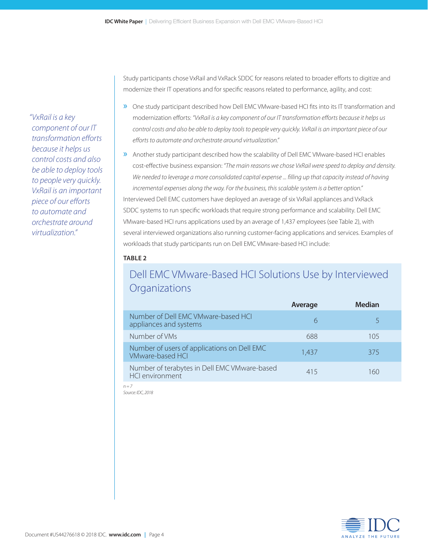*"VxRail is a key component of our IT transformation efforts because it helps us control costs and also be able to deploy tools to people very quickly. VxRail is an important piece of our efforts to automate and orchestrate around virtualization."*

Study participants chose VxRail and VxRack SDDC for reasons related to broader efforts to digitize and modernize their IT operations and for specific reasons related to performance, agility, and cost:

- » One study participant described how Dell EMC VMware-based HCI fits into its IT transformation and modernization efforts: *"VxRail is a key component of our IT transformation efforts because it helps us control costs and also be able to deploy tools to people very quickly. VxRail is an important piece of our efforts to automate and orchestrate around virtualization."*
- » Another study participant described how the scalability of Dell EMC VMware-based HCI enables cost-effective business expansion: *"The main reasons we chose VxRail were speed to deploy and density.*  We needed to leverage a more consolidated capital expense ... filling up that capacity instead of having *incremental expenses along the way. For the business, this scalable system is a better option."* Interviewed Dell EMC customers have deployed an average of six VxRail appliances and VxRack SDDC systems to run specific workloads that require strong performance and scalability. Dell EMC VMware-based HCI runs applications used by an average of 1,437 employees (see Table 2), with several interviewed organizations also running customer-facing applications and services. Examples of workloads that study participants run on Dell EMC VMware-based HCI include:

#### **TABLE 2**

# Dell EMC VMware-Based HCI Solutions Use by Interviewed **Organizations**

|                                                                        | Average | <b>Median</b> |
|------------------------------------------------------------------------|---------|---------------|
| Number of Dell EMC VMware-based HCI<br>appliances and systems          | h       |               |
| Number of VMs                                                          | 688     | 105           |
| Number of users of applications on Dell EMC<br><b>VMware-based HCI</b> | 1.437   | 375           |
| Number of terabytes in Dell EMC VMware-based<br><b>HCI</b> environment | 415     | 160           |
| $n = 7$                                                                |         |               |

*Source: IDC, 2018*

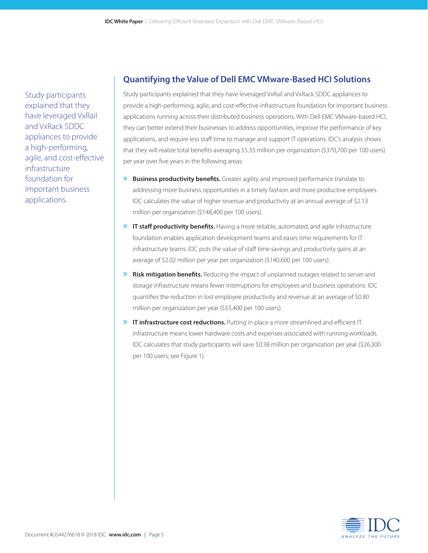Study participants explained that they have leveraged VxRail and VxRack SDDC appliances to provide a high-performing, agile, and cost-effective infrastructure foundation for important business applications.

### **Quantifying the Value of Dell EMC VMware-Based HCI Solutions**

Study participants explained that they have leveraged VxRail and VxRack SDDC appliances to provide a high-performing, agile, and cost-effective infrastructure foundation for important business applications running across their distributed business operations. With Dell EMC VMware-based HCI, they can better extend their businesses to address opportunities, improve the performance of key applications, and require less staff time to manage and support IT operations. IDC's analysis shows that they will realize total benefits averaging \$5.33 million per organization (\$370,700 per 100 users) per year over five years in the following areas:

- » **Business productivity benefits.** Greater agility and improved performance translate to addressing more business opportunities in a timely fashion and more productive employees. IDC calculates the value of higher revenue and productivity at an annual average of \$2.13 million per organization (\$148,400 per 100 users).
- » **IT staff productivity benefits.** Having a more reliable, automated, and agile infrastructure foundation enables application development teams and eases time requirements for IT infrastructure teams. IDC puts the value of staff time savings and productivity gains at an average of \$2.02 million per year per organization (\$140,600 per 100 users).
- » **Risk mitigation benefits.** Reducing the impact of unplanned outages related to server and storage infrastructure means fewer interruptions for employees and business operations. IDC quantifies the reduction in lost employee productivity and revenue at an average of \$0.80 million per organization per year (\$55,400 per 100 users).
- » **IT infrastructure cost reductions.** Putting in place a more streamlined and efficient IT infrastructure means lower hardware costs and expenses associated with running workloads. IDC calculates that study participants will save \$0.38 million per organization per year (\$26,300 per 100 users; see Figure 1).

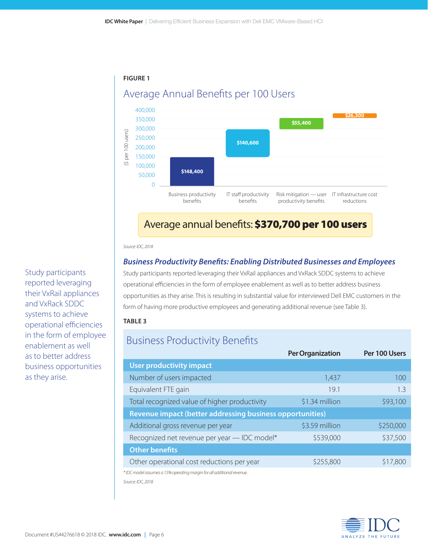



### Average annual benefits: \$370,700 per 100 users

*Source: IDC, 2018*

### *Business Productivity Benefits: Enabling Distributed Businesses and Employees*

Study participants reported leveraging their VxRail appliances and VxRack SDDC systems to achieve operational efficiencies in the form of employee enablement as well as to better address business opportunities as they arise. This is resulting in substantial value for interviewed Dell EMC customers in the form of having more productive employees and generating additional revenue (see Table 3).

#### **TABLE 3**

### Business Productivity Benefits

|                                                                  | <b>Per Organization</b> | Per 100 Users |  |  |
|------------------------------------------------------------------|-------------------------|---------------|--|--|
| <b>User productivity impact</b>                                  |                         |               |  |  |
| Number of users impacted                                         | 1,437                   | 100           |  |  |
| Equivalent FTE gain                                              | 19.1                    | 1.3           |  |  |
| Total recognized value of higher productivity                    | \$1.34 million          | \$93,100      |  |  |
| <b>Revenue impact (better addressing business opportunities)</b> |                         |               |  |  |
| Additional gross revenue per year                                | \$3.59 million          | \$250,000     |  |  |
| Recognized net revenue per year - IDC model*                     | \$539,000               | \$37,500      |  |  |
| <b>Other benefits</b>                                            |                         |               |  |  |
| Other operational cost reductions per year                       | \$255,800               | \$17,800      |  |  |
|                                                                  |                         |               |  |  |

*\* IDC model assumes a 15% operating margin for all additional revenue.*

*Source: IDC, 2018* 



Study participants reported leveraging their VxRail appliances and VxRack SDDC systems to achieve operational efficiencies in the form of employee enablement as well as to better address business opportunities as they arise.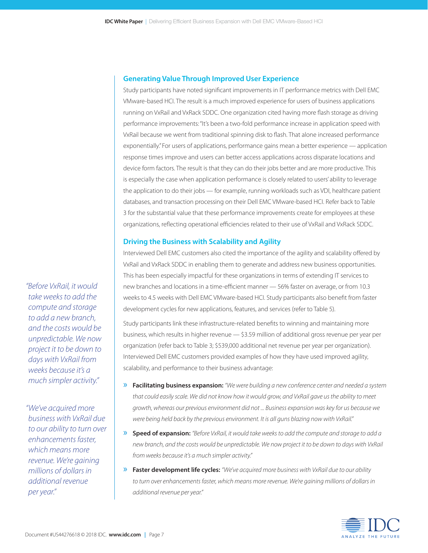#### **Generating Value Through Improved User Experience**

Study participants have noted significant improvements in IT performance metrics with Dell EMC VMware-based HCI. The result is a much improved experience for users of business applications running on VxRail and VxRack SDDC. One organization cited having more flash storage as driving performance improvements: "It's been a two-fold performance increase in application speed with VxRail because we went from traditional spinning disk to flash. That alone increased performance exponentially." For users of applications, performance gains mean a better experience — application response times improve and users can better access applications across disparate locations and device form factors. The result is that they can do their jobs better and are more productive. This is especially the case when application performance is closely related to users' ability to leverage the application to do their jobs — for example, running workloads such as VDI, healthcare patient databases, and transaction processing on their Dell EMC VMware-based HCI. Refer back to Table 3 for the substantial value that these performance improvements create for employees at these organizations, reflecting operational efficiencies related to their use of VxRail and VxRack SDDC.

#### **Driving the Business with Scalability and Agility**

Interviewed Dell EMC customers also cited the importance of the agility and scalability offered by VxRail and VxRack SDDC in enabling them to generate and address new business opportunities. This has been especially impactful for these organizations in terms of extending IT services to new branches and locations in a time-efficient manner — 56% faster on average, or from 10.3 weeks to 4.5 weeks with Dell EMC VMware-based HCI. Study participants also benefit from faster development cycles for new applications, features, and services (refer to Table 5).

Study participants link these infrastructure-related benefits to winning and maintaining more business, which results in higher revenue — \$3.59 million of additional gross revenue per year per organization (refer back to Table 3; \$539,000 additional net revenue per year per organization). Interviewed Dell EMC customers provided examples of how they have used improved agility, scalability, and performance to their business advantage:

- » **Facilitating business expansion:** *"We were building a new conference center and needed a system that could easily scale. We did not know how it would grow, and VxRail gave us the ability to meet growth, whereas our previous environment did not ... Business expansion was key for us because we were being held back by the previous environment. It is all guns blazing now with VxRail."*
- » **Speed of expansion:** *"Before VxRail, it would take weeks to add the compute and storage to add a new branch, and the costs would be unpredictable. We now project it to be down to days with VxRail from weeks because it's a much simpler activity."*
- » **Faster development life cycles:** *"We've acquired more business with VxRail due to our ability to turn over enhancements faster, which means more revenue. We're gaining millions of dollars in additional revenue per year."*



*"Before VxRail, it would take weeks to add the compute and storage to add a new branch, and the costs would be unpredictable. We now project it to be down to days with VxRail from weeks because it's a much simpler activity."*

*"We've acquired more business with VxRail due to our ability to turn over enhancements faster, which means more revenue. We're gaining millions of dollars in additional revenue per year."*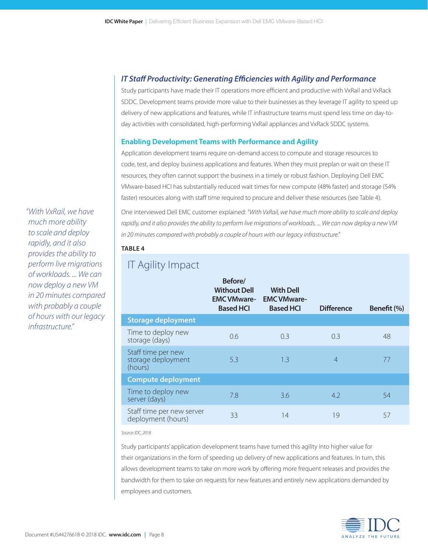### *IT Staff Productivity: Generating Efficiencies with Agility and Performance*

Study participants have made their IT operations more efficient and productive with VxRail and VxRack SDDC. Development teams provide more value to their businesses as they leverage IT agility to speed up delivery of new applications and features, while IT infrastructure teams must spend less time on day-today activities with consolidated, high-performing VxRail appliances and VxRack SDDC systems.

#### **Enabling Development Teams with Performance and Agility**

Application development teams require on-demand access to compute and storage resources to code, test, and deploy business applications and features. When they must preplan or wait on these IT resources, they often cannot support the business in a timely or robust fashion. Deploying Dell EMC VMware-based HCI has substantially reduced wait times for new compute (48% faster) and storage (54% faster) resources along with staff time required to procure and deliver these resources (see Table 4).

One interviewed Dell EMC customer explained: *"With VxRail, we have much more ability to scale and deploy rapidly, and it also provides the ability to perform live migrations of workloads. ... We can now deploy a new VM in 20 minutes compared with probably a couple of hours with our legacy infrastructure."*

#### **TABLE 4**

| $\mathcal{L}$                                       |                                                                          |                                                            |                   |             |
|-----------------------------------------------------|--------------------------------------------------------------------------|------------------------------------------------------------|-------------------|-------------|
|                                                     | Before/<br><b>Without Dell</b><br><b>EMC VMware-</b><br><b>Based HCI</b> | <b>With Dell</b><br><b>EMC VMware-</b><br><b>Based HCI</b> | <b>Difference</b> | Benefit (%) |
| <b>Storage deployment</b>                           |                                                                          |                                                            |                   |             |
| Time to deploy new<br>storage (days)                | 0.6                                                                      | 0.3                                                        | 0.3               | 48          |
| Staff time per new<br>storage deployment<br>(hours) | 5.3                                                                      | 1.3                                                        | $\overline{4}$    | 77          |
| <b>Compute deployment</b>                           |                                                                          |                                                            |                   |             |
| Time to deploy new<br>server (days)                 | 7.8                                                                      | 3.6                                                        | 4.2               | 54          |
| Staff time per new server<br>deployment (hours)     | 33                                                                       | 14                                                         | 19                | 57          |

### IT Agility Impact

*Source: IDC, 2018*

Study participants' application development teams have turned this agility into higher value for their organizations in the form of speeding up delivery of new applications and features. In turn, this allows development teams to take on more work by offering more frequent releases and provides the bandwidth for them to take on requests for new features and entirely new applications demanded by employees and customers.



*much more ability to scale and deploy rapidly, and it also provides the ability to perform live migrations of workloads. ... We can now deploy a new VM in 20 minutes compared with probably a couple of hours with our legacy infrastructure."*

*"With VxRail, we have*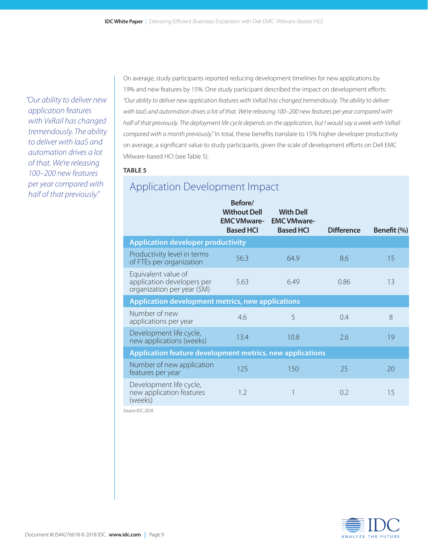*"Our ability to deliver new application features with VxRail has changed tremendously. The ability to deliver with IaaS and automation drives a lot of that. We're releasing 100–200 new features per year compared with half of that previously."*

On average, study participants reported reducing development timelines for new applications by 19% and new features by 15%. One study participant described the impact on development efforts: *"Our ability to deliver new application features with VxRail has changed tremendously. The ability to deliver with IaaS and automation drives a lot of that. We're releasing 100–200 new features per year compared with half of that previously. The deployment life cycle depends on the application, but I would say a week with VxRail compared with a month previously."* In total, these benefits translate to 15% higher developer productivity on average, a significant value to study participants, given the scale of development efforts on Dell EMC VMware-based HCI (see Table 5).

#### **TABLE 5**

## Application Development Impact

|                                                                                  | Before/<br><b>Without Dell</b><br><b>EMC VMware-</b><br><b>Based HCI</b> | <b>With Dell</b><br><b>EMC VMware-</b><br><b>Based HCI</b> | <b>Difference</b> | Benefit (%) |
|----------------------------------------------------------------------------------|--------------------------------------------------------------------------|------------------------------------------------------------|-------------------|-------------|
| <b>Application developer productivity</b>                                        |                                                                          |                                                            |                   |             |
| Productivity level in terms<br>of FTEs per organization                          | 56.3                                                                     | 64.9                                                       | 8.6               | 15          |
| Equivalent value of<br>application developers per<br>organization per year (\$M) | 5.63                                                                     | 6.49                                                       | 0.86              | 13          |
| Application development metrics, new applications                                |                                                                          |                                                            |                   |             |
| Number of new<br>applications per year                                           | 4.6                                                                      | 5                                                          | 0.4               | 8           |
| Development life cycle,<br>new applications (weeks)                              | 13.4                                                                     | 10.8                                                       | 2.6               | 19          |
| Application feature development metrics, new applications                        |                                                                          |                                                            |                   |             |
| Number of new application<br>features per year                                   | 125                                                                      | 150                                                        | 25                | 20          |
| Development life cycle,<br>new application features<br>(weeks)                   | 1.2                                                                      |                                                            | 0.2               | 15          |

*Source: IDC, 2018*

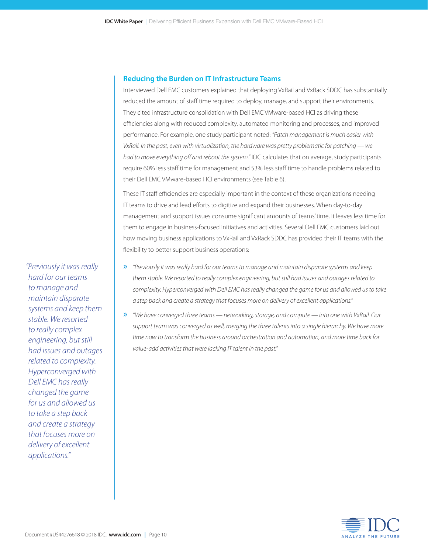#### **Reducing the Burden on IT Infrastructure Teams**

Interviewed Dell EMC customers explained that deploying VxRail and VxRack SDDC has substantially reduced the amount of staff time required to deploy, manage, and support their environments. They cited infrastructure consolidation with Dell EMC VMware-based HCI as driving these efficiencies along with reduced complexity, automated monitoring and processes, and improved performance. For example, one study participant noted: *"Patch management is much easier with VxRail. In the past, even with virtualization, the hardware was pretty problematic for patching — we had to move everything off and reboot the system."* IDC calculates that on average, study participants require 60% less staff time for management and 53% less staff time to handle problems related to their Dell EMC VMware-based HCI environments (see Table 6).

These IT staff efficiencies are especially important in the context of these organizations needing IT teams to drive and lead efforts to digitize and expand their businesses. When day-to-day management and support issues consume significant amounts of teams' time, it leaves less time for them to engage in business-focused initiatives and activities. Several Dell EMC customers laid out how moving business applications to VxRail and VxRack SDDC has provided their IT teams with the flexibility to better support business operations:

- » *"Previously it was really hard for our teams to manage and maintain disparate systems and keep them stable. We resorted to really complex engineering, but still had issues and outages related to complexity. Hyperconverged with Dell EMC has really changed the game for us and allowed us to take a step back and create a strategy that focuses more on delivery of excellent applications."*
- » *"We have converged three teams networking, storage, and compute into one with VxRail. Our*  support team was converged as well, merging the three talents into a single hierarchy. We have more *time now to transform the business around orchestration and automation, and more time back for value-add activities that were lacking IT talent in the past."*



*hard for our teams to manage and maintain disparate systems and keep them stable. We resorted to really complex engineering, but still had issues and outages related to complexity. Hyperconverged with Dell EMC has really changed the game for us and allowed us to take a step back and create a strategy that focuses more on delivery of excellent applications."*

*"Previously it was really*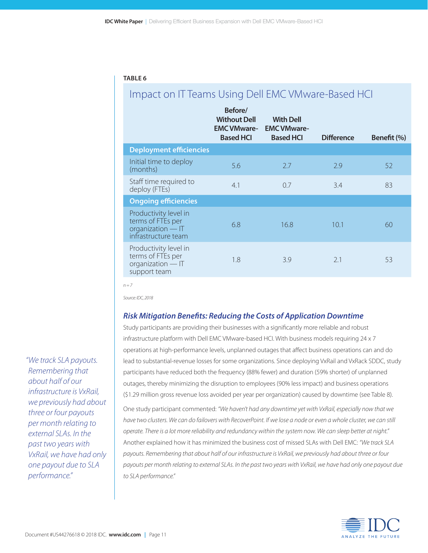#### **TABLE 6**

### Impact on IT Teams Using Dell EMC VMware-Based HCI

|                                                                                        | Before/<br><b>Without Dell</b><br><b>EMC VMware-</b><br><b>Based HCI</b> | <b>With Dell</b><br><b>EMC VMware-</b><br><b>Based HCI</b> | <b>Difference</b> | Benefit (%) |
|----------------------------------------------------------------------------------------|--------------------------------------------------------------------------|------------------------------------------------------------|-------------------|-------------|
| <b>Deployment efficiencies</b>                                                         |                                                                          |                                                            |                   |             |
| Initial time to deploy<br>(months)                                                     | 5.6                                                                      | 2.7                                                        | 2.9               | 52          |
| Staff time required to<br>deploy (FTEs)                                                | 4.1                                                                      | 0.7                                                        | 3.4               | 83          |
| <b>Ongoing efficiencies</b>                                                            |                                                                          |                                                            |                   |             |
| Productivity level in<br>terms of FTEs per<br>organization - IT<br>infrastructure team | 6.8                                                                      | 16.8                                                       | 10.1              | 60          |
| Productivity level in<br>terms of FTEs per<br>organization - IT<br>support team        | 1.8                                                                      | 3.9                                                        | 2.1               | 53          |

*n = 7*

*Source: IDC, 2018*

#### *Risk Mitigation Benefits: Reducing the Costs of Application Downtime*

Study participants are providing their businesses with a significantly more reliable and robust infrastructure platform with Dell EMC VMware-based HCI. With business models requiring 24 x 7 operations at high-performance levels, unplanned outages that affect business operations can and do lead to substantial-revenue losses for some organizations. Since deploying VxRail and VxRack SDDC, study participants have reduced both the frequency (88% fewer) and duration (59% shorter) of unplanned outages, thereby minimizing the disruption to employees (90% less impact) and business operations (\$1.29 million gross revenue loss avoided per year per organization) caused by downtime (see Table 8). One study participant commented: *"We haven't had any downtime yet with VxRail, especially now that we*  have two clusters. We can do failovers with RecoverPoint. If we lose a node or even a whole cluster, we can still *operate. There is a lot more reliability and redundancy within the system now. We can sleep better at night."* Another explained how it has minimized the business cost of missed SLAs with Dell EMC: *"We track SLA payouts. Remembering that about half of our infrastructure is VxRail, we previously had about three or four payouts per month relating to external SLAs. In the past two years with VxRail, we have had only one payout due to SLA performance."*



*"We track SLA payouts. Remembering that about half of our infrastructure is VxRail, we previously had about three or four payouts per month relating to external SLAs. In the past two years with VxRail, we have had only one payout due to SLA performance."*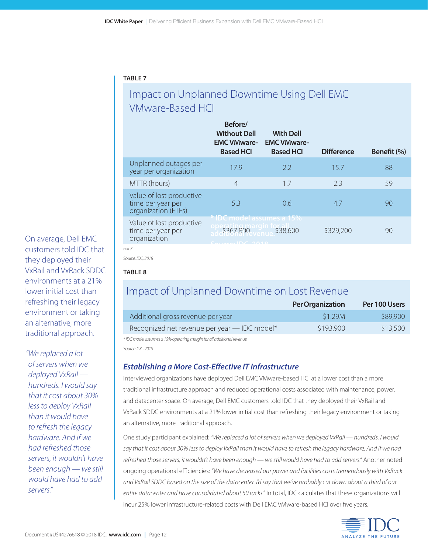### **TABLE 7**

# Impact on Unplanned Downtime Using Dell EMC VMware-Based HCI

|                                                                      | Before/<br><b>Without Dell</b><br><b>EMC VMware-</b><br><b>Based HCI</b> | <b>With Dell</b><br><b>EMC VMware-</b><br><b>Based HCI</b> | <b>Difference</b> | Benefit (%) |
|----------------------------------------------------------------------|--------------------------------------------------------------------------|------------------------------------------------------------|-------------------|-------------|
| Unplanned outages per<br>year per organization                       | 17.9                                                                     | 2.2                                                        | 15.7              | 88          |
| MTTR (hours)                                                         | $\overline{4}$                                                           | 1.7                                                        | 2.3               | 59          |
| Value of lost productive<br>time per year per<br>organization (FTEs) | 5.3                                                                      | 0.6                                                        | 4.7               | 90          |
| Value of lost productive<br>time per year per<br>organization        | *IDC model assumes a 15%<br>\$367,800<br>$C_{\text{ouco}}$ IDC 2010      | \$38,600                                                   | \$329,200         | 90          |

*n = 7*

*Source: IDC, 2018*

### **TABLE 8**

### Impact of Unplanned Downtime on Lost Revenue

|                                              | <b>Per Organization</b> | Per 100 Users |
|----------------------------------------------|-------------------------|---------------|
| Additional gross revenue per year            | S1.29M                  | \$89,900      |
| Recognized net revenue per year - IDC model* | \$193,900               | \$13,500      |

*\* IDC model assumes a 15% operating margin for all additional revenue.*

*Source: IDC, 2018*

### *Establishing a More Cost-Effective IT Infrastructure*

Interviewed organizations have deployed Dell EMC VMware-based HCI at a lower cost than a more traditional infrastructure approach and reduced operational costs associated with maintenance, power, and datacenter space. On average, Dell EMC customers told IDC that they deployed their VxRail and VxRack SDDC environments at a 21% lower initial cost than refreshing their legacy environment or taking an alternative, more traditional approach.

One study participant explained: *"We replaced a lot of servers when we deployed VxRail — hundreds. I would*  say that it cost about 30% less to deploy VxRail than it would have to refresh the legacy hardware. And if we had *refreshed those servers, it wouldn't have been enough — we still would have had to add servers."* Another noted ongoing operational efficiencies: *"We have decreased our power and facilities costs tremendously with VxRack and VxRail SDDC based on the size of the datacenter. I'd say that we've probably cut down about a third of our entire datacenter and have consolidated about 50 racks."* In total, IDC calculates that these organizations will incur 25% lower infrastructure-related costs with Dell EMC VMware-based HCI over five years.



On average, Dell EMC customers told IDC that they deployed their VxRail and VxRack SDDC environments at a 21% lower initial cost than refreshing their legacy environment or taking an alternative, more traditional approach.

*"We replaced a lot of servers when we deployed VxRail hundreds. I would say that it cost about 30% less to deploy VxRail than it would have to refresh the legacy hardware. And if we had refreshed those servers, it wouldn't have been enough — we still would have had to add servers."*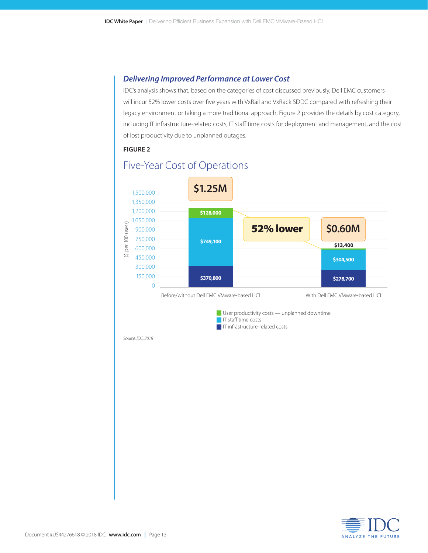### *Delivering Improved Performance at Lower Cost*

IDC's analysis shows that, based on the categories of cost discussed previously, Dell EMC customers will incur 52% lower costs over five years with VxRail and VxRack SDDC compared with refreshing their legacy environment or taking a more traditional approach. Figure 2 provides the details by cost category, including IT infrastructure-related costs, IT staff time costs for deployment and management, and the cost of lost productivity due to unplanned outages.

#### **FIGURE 2**



### Five-Year Cost of Operations

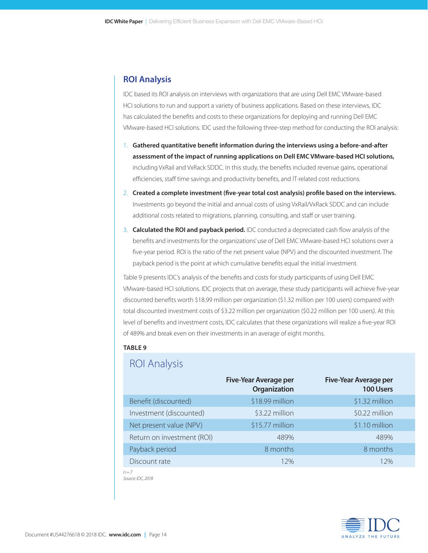### **ROI Analysis**

IDC based its ROI analysis on interviews with organizations that are using Dell EMC VMware-based HCI solutions to run and support a variety of business applications. Based on these interviews, IDC has calculated the benefits and costs to these organizations for deploying and running Dell EMC VMware-based HCI solutions. IDC used the following three-step method for conducting the ROI analysis:

- 1. **Gathered quantitative benefit information during the interviews using a before-and-after assessment of the impact of running applications on Dell EMC VMware-based HCI solutions,** including VxRail and VxRack SDDC. In this study, the benefits included revenue gains, operational efficiencies, staff time savings and productivity benefits, and IT-related cost reductions.
- 2. **Created a complete investment (five-year total cost analysis) profile based on the interviews.**  Investments go beyond the initial and annual costs of using VxRail/VxRack SDDC and can include additional costs related to migrations, planning, consulting, and staff or user training.
- 3. **Calculated the ROI and payback period.** IDC conducted a depreciated cash flow analysis of the benefits and investments for the organizations' use of Dell EMC VMware-based HCI solutions over a five-year period. ROI is the ratio of the net present value (NPV) and the discounted investment. The payback period is the point at which cumulative benefits equal the initial investment.

Table 9 presents IDC's analysis of the benefits and costs for study participants of using Dell EMC VMware-based HCI solutions. IDC projects that on average, these study participants will achieve five-year discounted benefits worth \$18.99 million per organization (\$1.32 million per 100 users) compared with total discounted investment costs of \$3.22 million per organization (\$0.22 million per 100 users). At this level of benefits and investment costs, IDC calculates that these organizations will realize a five-year ROI of 489% and break even on their investments in an average of eight months.

#### **TABLE 9**

### ROI Analysis

|                            | <b>Five-Year Average per</b><br>Organization | <b>Five-Year Average per</b><br>100 Users |
|----------------------------|----------------------------------------------|-------------------------------------------|
| Benefit (discounted)       | \$18.99 million                              | \$1.32 million                            |
| Investment (discounted)    | \$3.22 million                               | \$0.22 million                            |
| Net present value (NPV)    | \$15.77 million                              | \$1.10 million                            |
| Return on investment (ROI) | 489%                                         | 489%                                      |
| Payback period             | 8 months                                     | 8 months                                  |
| Discount rate              | 12%                                          | 12%                                       |

*n = 7 Source: IDC, 2018*

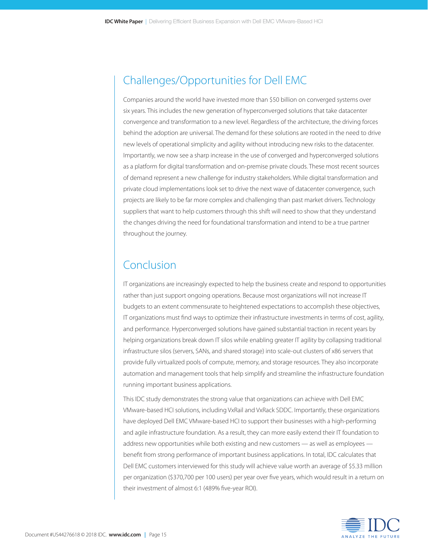# Challenges/Opportunities for Dell EMC

Companies around the world have invested more than \$50 billion on converged systems over six years. This includes the new generation of hyperconverged solutions that take datacenter convergence and transformation to a new level. Regardless of the architecture, the driving forces behind the adoption are universal. The demand for these solutions are rooted in the need to drive new levels of operational simplicity and agility without introducing new risks to the datacenter. Importantly, we now see a sharp increase in the use of converged and hyperconverged solutions as a platform for digital transformation and on-premise private clouds. These most recent sources of demand represent a new challenge for industry stakeholders. While digital transformation and private cloud implementations look set to drive the next wave of datacenter convergence, such projects are likely to be far more complex and challenging than past market drivers. Technology suppliers that want to help customers through this shift will need to show that they understand the changes driving the need for foundational transformation and intend to be a true partner throughout the journey.

# Conclusion

IT organizations are increasingly expected to help the business create and respond to opportunities rather than just support ongoing operations. Because most organizations will not increase IT budgets to an extent commensurate to heightened expectations to accomplish these objectives, IT organizations must find ways to optimize their infrastructure investments in terms of cost, agility, and performance. Hyperconverged solutions have gained substantial traction in recent years by helping organizations break down IT silos while enabling greater IT agility by collapsing traditional infrastructure silos (servers, SANs, and shared storage) into scale-out clusters of x86 servers that provide fully virtualized pools of compute, memory, and storage resources. They also incorporate automation and management tools that help simplify and streamline the infrastructure foundation running important business applications.

This IDC study demonstrates the strong value that organizations can achieve with Dell EMC VMware-based HCI solutions, including VxRail and VxRack SDDC. Importantly, these organizations have deployed Dell EMC VMware-based HCI to support their businesses with a high-performing and agile infrastructure foundation. As a result, they can more easily extend their IT foundation to address new opportunities while both existing and new customers — as well as employees benefit from strong performance of important business applications. In total, IDC calculates that Dell EMC customers interviewed for this study will achieve value worth an average of \$5.33 million per organization (\$370,700 per 100 users) per year over five years, which would result in a return on their investment of almost 6:1 (489% five-year ROI).

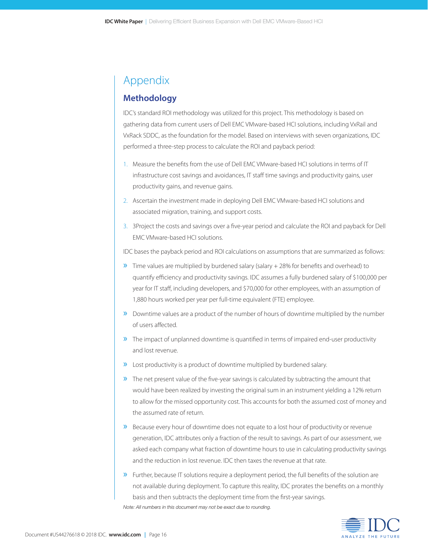# Appendix

### **Methodology**

IDC's standard ROI methodology was utilized for this project. This methodology is based on gathering data from current users of Dell EMC VMware-based HCI solutions, including VxRail and VxRack SDDC, as the foundation for the model. Based on interviews with seven organizations, IDC performed a three-step process to calculate the ROI and payback period:

- 1. Measure the benefits from the use of Dell EMC VMware-based HCI solutions in terms of IT infrastructure cost savings and avoidances, IT staff time savings and productivity gains, user productivity gains, and revenue gains.
- 2. Ascertain the investment made in deploying Dell EMC VMware-based HCI solutions and associated migration, training, and support costs.
- 3. 3Project the costs and savings over a five-year period and calculate the ROI and payback for Dell EMC VMware-based HCI solutions.

IDC bases the payback period and ROI calculations on assumptions that are summarized as follows:

- $\gg$  Time values are multiplied by burdened salary (salary + 28% for benefits and overhead) to quantify efficiency and productivity savings. IDC assumes a fully burdened salary of \$100,000 per year for IT staff, including developers, and \$70,000 for other employees, with an assumption of 1,880 hours worked per year per full-time equivalent (FTE) employee.
- » Downtime values are a product of the number of hours of downtime multiplied by the number of users affected.
- » The impact of unplanned downtime is quantified in terms of impaired end-user productivity and lost revenue.
- » Lost productivity is a product of downtime multiplied by burdened salary.
- » The net present value of the five-year savings is calculated by subtracting the amount that would have been realized by investing the original sum in an instrument yielding a 12% return to allow for the missed opportunity cost. This accounts for both the assumed cost of money and the assumed rate of return.
- » Because every hour of downtime does not equate to a lost hour of productivity or revenue generation, IDC attributes only a fraction of the result to savings. As part of our assessment, we asked each company what fraction of downtime hours to use in calculating productivity savings and the reduction in lost revenue. IDC then taxes the revenue at that rate.
- » Further, because IT solutions require a deployment period, the full benefits of the solution are not available during deployment. To capture this reality, IDC prorates the benefits on a monthly basis and then subtracts the deployment time from the first-year savings. *Note: All numbers in this document may not be exact due to rounding.*